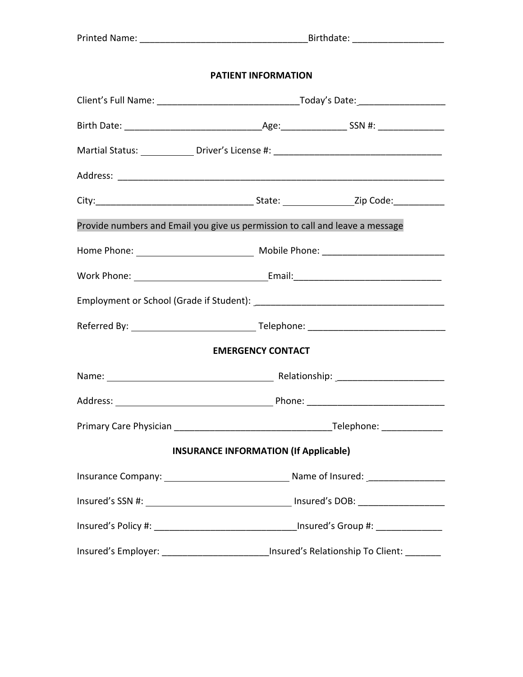### **PATIENT INFORMATION**

| Provide numbers and Email you give us permission to call and leave a message            |                                              |  |  |  |
|-----------------------------------------------------------------------------------------|----------------------------------------------|--|--|--|
|                                                                                         |                                              |  |  |  |
|                                                                                         |                                              |  |  |  |
|                                                                                         |                                              |  |  |  |
|                                                                                         |                                              |  |  |  |
|                                                                                         | <b>EMERGENCY CONTACT</b>                     |  |  |  |
|                                                                                         |                                              |  |  |  |
|                                                                                         |                                              |  |  |  |
|                                                                                         |                                              |  |  |  |
|                                                                                         | <b>INSURANCE INFORMATION (If Applicable)</b> |  |  |  |
|                                                                                         |                                              |  |  |  |
|                                                                                         |                                              |  |  |  |
|                                                                                         |                                              |  |  |  |
| Insured's Employer: __________________________Insured's Relationship To Client: _______ |                                              |  |  |  |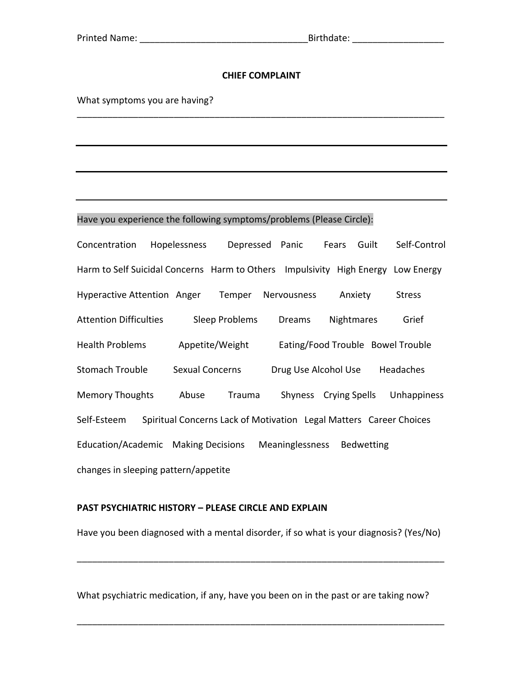### **CHIEF COMPLAINT**

\_\_\_\_\_\_\_\_\_\_\_\_\_\_\_\_\_\_\_\_\_\_\_\_\_\_\_\_\_\_\_\_\_\_\_\_\_\_\_\_\_\_\_\_\_\_\_\_\_\_\_\_\_\_\_\_\_\_\_\_\_\_\_\_\_\_\_\_\_\_\_\_

What symptoms you are having?

#### Have you experience the following symptoms/problems (Please Circle):

Concentration Hopelessness Depressed Panic Fears Guilt Self-Control Harm to Self Suicidal Concerns Harm to Others Impulsivity High Energy Low Energy Hyperactive Attention Anger Temper Nervousness Anxiety Stress Attention Difficulties Sleep Problems Dreams Nightmares Grief Health Problems Appetite/Weight Eating/Food Trouble Bowel Trouble Stomach Trouble Sexual Concerns Drug Use Alcohol Use Headaches Memory Thoughts Abuse Trauma Shyness Crying Spells Unhappiness Self-Esteem Spiritual Concerns Lack of Motivation Legal Matters Career Choices Education/Academic Making Decisions Meaninglessness Bedwetting changes in sleeping pattern/appetite

### **PAST PSYCHIATRIC HISTORY - PLEASE CIRCLE AND EXPLAIN**

Have you been diagnosed with a mental disorder, if so what is your diagnosis? (Yes/No)

\_\_\_\_\_\_\_\_\_\_\_\_\_\_\_\_\_\_\_\_\_\_\_\_\_\_\_\_\_\_\_\_\_\_\_\_\_\_\_\_\_\_\_\_\_\_\_\_\_\_\_\_\_\_\_\_\_\_\_\_\_\_\_\_\_\_\_\_\_\_\_\_

What psychiatric medication, if any, have you been on in the past or are taking now?

\_\_\_\_\_\_\_\_\_\_\_\_\_\_\_\_\_\_\_\_\_\_\_\_\_\_\_\_\_\_\_\_\_\_\_\_\_\_\_\_\_\_\_\_\_\_\_\_\_\_\_\_\_\_\_\_\_\_\_\_\_\_\_\_\_\_\_\_\_\_\_\_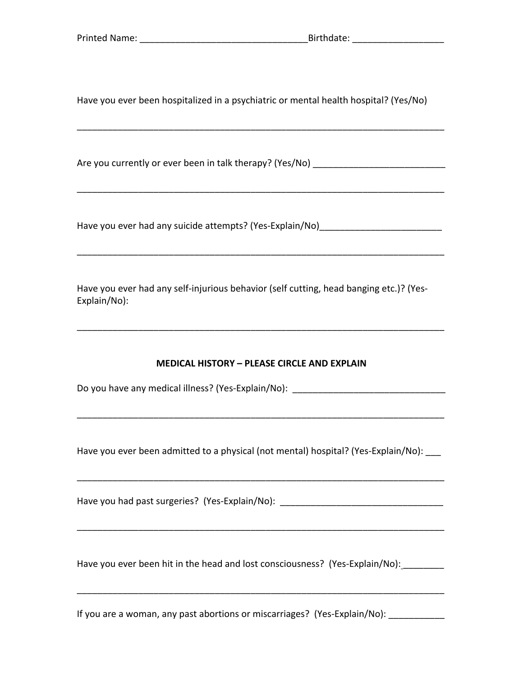Have you ever been hospitalized in a psychiatric or mental health hospital? (Yes/No)

Are you currently or ever been in talk therapy? (Yes/No) \_\_\_\_\_\_\_\_\_\_\_\_\_\_\_\_\_\_\_\_\_\_\_

Have you ever had any suicide attempts? (Yes-Explain/No)\_\_\_\_\_\_\_

Have you ever had any self-injurious behavior (self cutting, head banging etc.)? (Yes-Explain/No):

### **MEDICAL HISTORY - PLEASE CIRCLE AND EXPLAIN**

Do you have any medical illness? (Yes-Explain/No): \_\_\_\_\_\_\_\_\_\_\_\_\_\_\_\_\_\_\_\_\_\_\_\_\_\_\_\_\_

Have you ever been admitted to a physical (not mental) hospital? (Yes-Explain/No): \_\_\_

Have you had past surgeries? (Yes-Explain/No): \_\_\_\_\_\_\_\_\_\_\_\_\_\_\_\_\_\_\_\_\_\_\_\_\_\_\_\_\_\_\_\_\_

Have you ever been hit in the head and lost consciousness? (Yes-Explain/No):

If you are a woman, any past abortions or miscarriages? (Yes-Explain/No): \_\_\_\_\_\_\_\_\_\_\_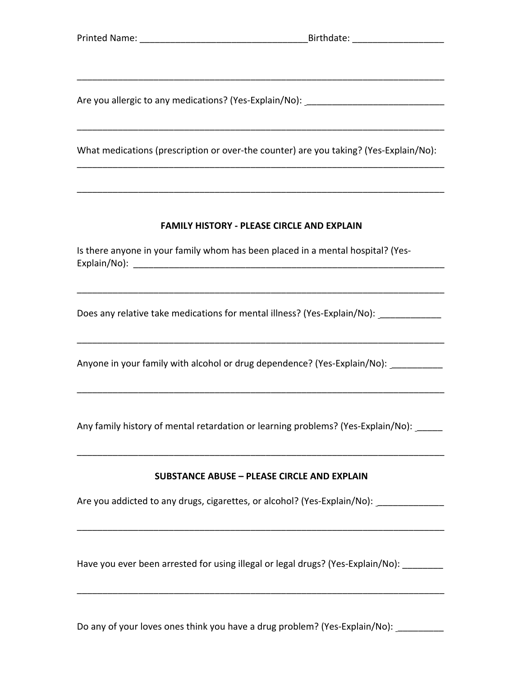Are you allergic to any medications? (Yes-Explain/No): \_\_\_\_\_\_\_\_\_\_\_\_\_\_\_\_\_\_\_\_\_\_\_\_\_

What medications (prescription or over-the counter) are you taking? (Yes-Explain/No):

### **FAMILY HISTORY - PLEASE CIRCLE AND EXPLAIN**

Is there anyone in your family whom has been placed in a mental hospital? (Yes-Explain/No): the contract of the contract of the contract of the contract of the contract of the contract of the contract of the contract of the contract of the contract of the contract of the contract of the contract of t

Does any relative take medications for mental illness? (Yes-Explain/No): \_\_\_\_\_\_\_\_\_\_\_\_

Anyone in your family with alcohol or drug dependence? (Yes-Explain/No): \_\_\_\_\_\_\_\_

Any family history of mental retardation or learning problems? (Yes-Explain/No): \_\_\_\_\_

### **SUBSTANCE ABUSE - PLEASE CIRCLE AND EXPLAIN**

Are you addicted to any drugs, cigarettes, or alcohol? (Yes-Explain/No): \_\_\_\_\_\_\_\_\_\_\_\_\_

Have you ever been arrested for using illegal or legal drugs? (Yes-Explain/No):

Do any of your loves ones think you have a drug problem? (Yes-Explain/No):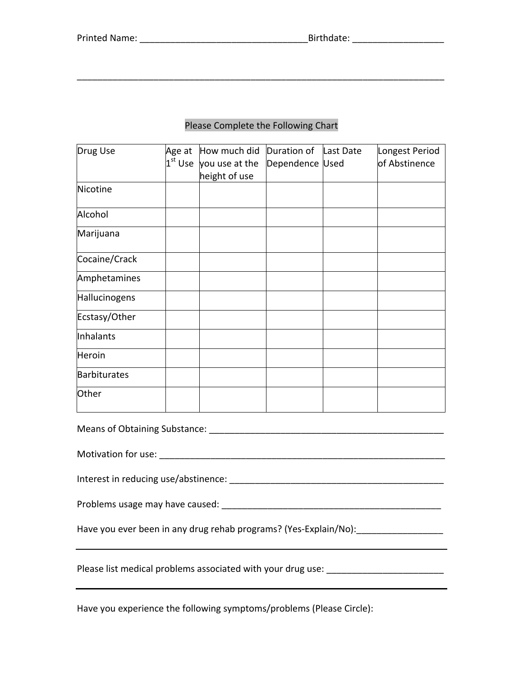\_\_\_\_\_\_\_\_\_\_\_\_\_\_\_\_\_\_\_\_\_\_\_\_\_\_\_\_\_\_\_\_\_\_\_\_\_\_\_\_\_\_\_\_\_\_\_\_\_\_\_\_\_\_\_\_\_\_\_\_\_\_\_\_\_\_\_\_\_\_\_\_ 

# Please Complete the Following Chart

| Drug Use                                                          |  | Age at How much did Duration of<br>$1st$ Use you use at the | Dependence Used | Last Date | Longest Period<br>of Abstinence |  |
|-------------------------------------------------------------------|--|-------------------------------------------------------------|-----------------|-----------|---------------------------------|--|
|                                                                   |  | height of use                                               |                 |           |                                 |  |
| Nicotine                                                          |  |                                                             |                 |           |                                 |  |
| Alcohol                                                           |  |                                                             |                 |           |                                 |  |
| Marijuana                                                         |  |                                                             |                 |           |                                 |  |
| Cocaine/Crack                                                     |  |                                                             |                 |           |                                 |  |
| Amphetamines                                                      |  |                                                             |                 |           |                                 |  |
| Hallucinogens                                                     |  |                                                             |                 |           |                                 |  |
| Ecstasy/Other                                                     |  |                                                             |                 |           |                                 |  |
| Inhalants                                                         |  |                                                             |                 |           |                                 |  |
| Heroin                                                            |  |                                                             |                 |           |                                 |  |
| Barbiturates                                                      |  |                                                             |                 |           |                                 |  |
| Other                                                             |  |                                                             |                 |           |                                 |  |
| Means of Obtaining Substance: Management of Change and Substance: |  |                                                             |                 |           |                                 |  |
|                                                                   |  |                                                             |                 |           |                                 |  |
|                                                                   |  |                                                             |                 |           |                                 |  |
|                                                                   |  |                                                             |                 |           |                                 |  |
| Have you ever been in any drug rehab programs? (Yes-Explain/No):  |  |                                                             |                 |           |                                 |  |

Please list medical problems associated with your drug use: \_\_\_\_\_\_\_\_\_\_\_\_\_\_\_\_\_\_\_\_\_

Have you experience the following symptoms/problems (Please Circle):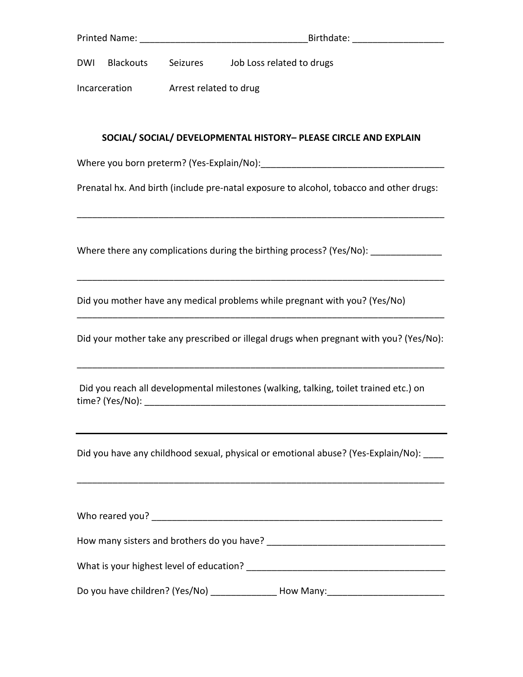| Printed Name: |           |          | Birthdate:                |
|---------------|-----------|----------|---------------------------|
| <b>DWI</b>    | Blackouts | Seizures | Job Loss related to drugs |

Incarceration **Arrest** related to drug

## **SOCIAL/ SOCIAL/ DEVELOPMENTAL HISTORY– PLEASE CIRCLE AND EXPLAIN**

Where you born preterm? (Yes-Explain/No):\_\_\_\_\_\_\_\_\_\_\_\_\_\_\_\_\_\_\_\_\_\_\_\_\_\_\_\_\_\_\_\_\_\_\_\_

Prenatal hx. And birth (include pre-natal exposure to alcohol, tobacco and other drugs:

\_\_\_\_\_\_\_\_\_\_\_\_\_\_\_\_\_\_\_\_\_\_\_\_\_\_\_\_\_\_\_\_\_\_\_\_\_\_\_\_\_\_\_\_\_\_\_\_\_\_\_\_\_\_\_\_\_\_\_\_\_\_\_\_\_\_\_\_\_\_\_\_

\_\_\_\_\_\_\_\_\_\_\_\_\_\_\_\_\_\_\_\_\_\_\_\_\_\_\_\_\_\_\_\_\_\_\_\_\_\_\_\_\_\_\_\_\_\_\_\_\_\_\_\_\_\_\_\_\_\_\_\_\_\_\_\_\_\_\_\_\_\_\_\_

Where there any complications during the birthing process? (Yes/No): \_\_\_\_\_\_\_\_\_\_\_

Did you mother have any medical problems while pregnant with you? (Yes/No)

Did your mother take any prescribed or illegal drugs when pregnant with you? (Yes/No):

\_\_\_\_\_\_\_\_\_\_\_\_\_\_\_\_\_\_\_\_\_\_\_\_\_\_\_\_\_\_\_\_\_\_\_\_\_\_\_\_\_\_\_\_\_\_\_\_\_\_\_\_\_\_\_\_\_\_\_\_\_\_\_\_\_\_\_\_\_\_\_\_

\_\_\_\_\_\_\_\_\_\_\_\_\_\_\_\_\_\_\_\_\_\_\_\_\_\_\_\_\_\_\_\_\_\_\_\_\_\_\_\_\_\_\_\_\_\_\_\_\_\_\_\_\_\_\_\_\_\_\_\_\_\_\_\_\_\_\_\_\_\_\_\_

Did you reach all developmental milestones (walking, talking, toilet trained etc.) on time? (Yes/No): \_\_\_\_\_\_\_\_\_\_\_\_\_\_\_\_\_\_\_\_\_\_\_\_\_\_\_\_\_\_\_\_\_\_\_\_\_\_\_\_\_\_\_\_\_\_\_\_\_\_\_\_\_\_\_\_\_\_\_

Did you have any childhood sexual, physical or emotional abuse? (Yes-Explain/No): \_\_\_\_

\_\_\_\_\_\_\_\_\_\_\_\_\_\_\_\_\_\_\_\_\_\_\_\_\_\_\_\_\_\_\_\_\_\_\_\_\_\_\_\_\_\_\_\_\_\_\_\_\_\_\_\_\_\_\_\_\_\_\_\_\_\_\_\_\_\_\_\_\_\_\_\_

| Who reared you?                            |           |
|--------------------------------------------|-----------|
| How many sisters and brothers do you have? |           |
| What is your highest level of education?   |           |
| Do you have children? (Yes/No)             | How Many: |